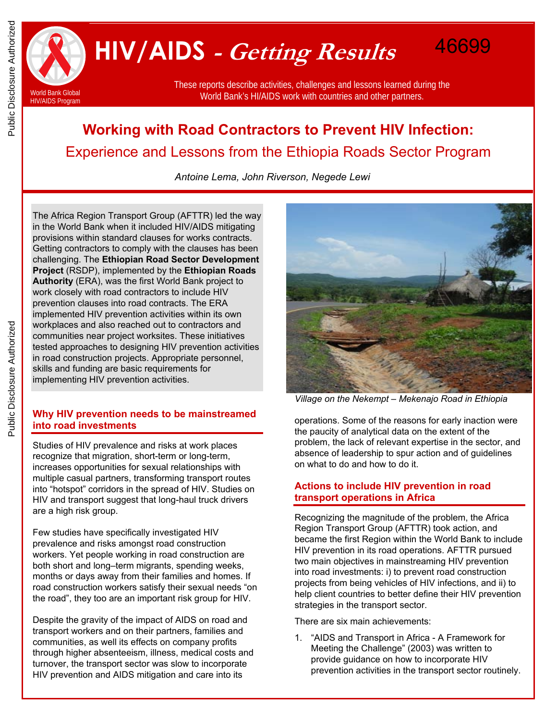

 **HIV/AIDS - Getting Results** 

These reports describe activities, challenges and lessons learned during the World Bank's HI/AIDS work with countries and other partners.

# **Working with Road Contractors to Prevent HIV Infection:**  Experience and Lessons from the Ethiopia Roads Sector Program

*Antoine Lema, John Riverson, Negede Lewi* 

The Africa Region Transport Group (AFTTR) led the way in the World Bank when it included HIV/AIDS mitigating provisions within standard clauses for works contracts. Getting contractors to comply with the clauses has been challenging. The **Ethiopian Road Sector Development Project** (RSDP), implemented by the **Ethiopian Roads Authority** (ERA), was the first World Bank project to work closely with road contractors to include HIV prevention clauses into road contracts. The ERA implemented HIV prevention activities within its own workplaces and also reached out to contractors and communities near project worksites. These initiatives tested approaches to designing HIV prevention activities in road construction projects. Appropriate personnel, skills and funding are basic requirements for implementing HIV prevention activities.

# **Why HIV prevention needs to be mainstreamed into road investments**

Studies of HIV prevalence and risks at work places recognize that migration, short-term or long-term, increases opportunities for sexual relationships with multiple casual partners, transforming transport routes into "hotspot" corridors in the spread of HIV. Studies on HIV and transport suggest that long-haul truck drivers are a high risk group.

Few studies have specifically investigated HIV prevalence and risks amongst road construction workers. Yet people working in road construction are both short and long–term migrants, spending weeks, months or days away from their families and homes. If road construction workers satisfy their sexual needs "on the road", they too are an important risk group for HIV.

Despite the gravity of the impact of AIDS on road and transport workers and on their partners, families and communities, as well its effects on company profits through higher absenteeism, illness, medical costs and turnover, the transport sector was slow to incorporate HIV prevention and AIDS mitigation and care into its



46699

*Village on the Nekempt – Mekenajo Road in Ethiopia* 

operations. Some of the reasons for early inaction were the paucity of analytical data on the extent of the problem, the lack of relevant expertise in the sector, and absence of leadership to spur action and of guidelines on what to do and how to do it.

# **Actions to include HIV prevention in road transport operations in Africa**

Recognizing the magnitude of the problem, the Africa Region Transport Group (AFTTR) took action, and became the first Region within the World Bank to include HIV prevention in its road operations. AFTTR pursued two main objectives in mainstreaming HIV prevention into road investments: i) to prevent road construction projects from being vehicles of HIV infections, and ii) to help client countries to better define their HIV prevention strategies in the transport sector.

There are six main achievements:

1. "AIDS and Transport in Africa - A Framework for Meeting the Challenge" (2003) was written to provide guidance on how to incorporate HIV prevention activities in the transport sector routinely.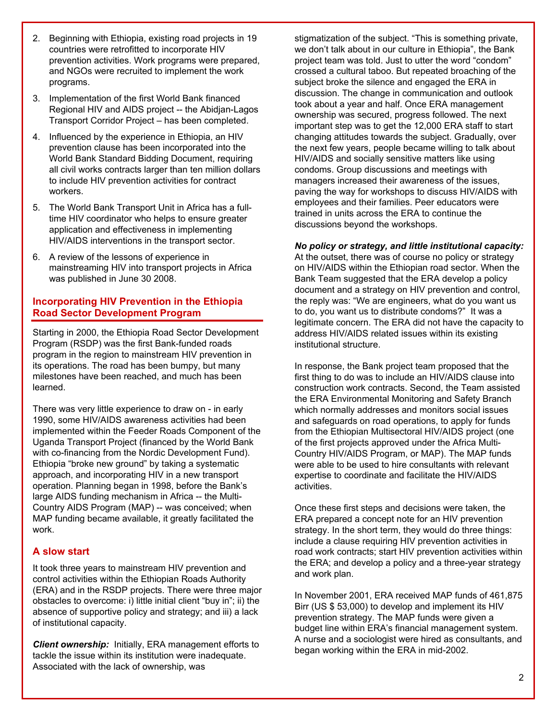- 2. Beginning with Ethiopia, existing road projects in 19 countries were retrofitted to incorporate HIV prevention activities. Work programs were prepared, and NGOs were recruited to implement the work programs.
- 3. Implementation of the first World Bank financed Regional HIV and AIDS project -- the Abidjan-Lagos Transport Corridor Project – has been completed.
- 4. Influenced by the experience in Ethiopia, an HIV prevention clause has been incorporated into the World Bank Standard Bidding Document, requiring all civil works contracts larger than ten million dollars to include HIV prevention activities for contract workers.
- 5. The World Bank Transport Unit in Africa has a fulltime HIV coordinator who helps to ensure greater application and effectiveness in implementing HIV/AIDS interventions in the transport sector.
- 6. A review of the lessons of experience in mainstreaming HIV into transport projects in Africa was published in June 30 2008.

# **Incorporating HIV Prevention in the Ethiopia Road Sector Development Program**

Starting in 2000, the Ethiopia Road Sector Development Program (RSDP) was the first Bank-funded roads program in the region to mainstream HIV prevention in its operations. The road has been bumpy, but many milestones have been reached, and much has been learned.

There was very little experience to draw on - in early 1990, some HIV/AIDS awareness activities had been implemented within the Feeder Roads Component of the Uganda Transport Project (financed by the World Bank with co-financing from the Nordic Development Fund). Ethiopia "broke new ground" by taking a systematic approach, and incorporating HIV in a new transport operation. Planning began in 1998, before the Bank's large AIDS funding mechanism in Africa -- the Multi-Country AIDS Program (MAP) -- was conceived; when MAP funding became available, it greatly facilitated the work.

## **A slow start**

It took three years to mainstream HIV prevention and control activities within the Ethiopian Roads Authority (ERA) and in the RSDP projects. There were three major obstacles to overcome: i) little initial client "buy in"; ii) the absence of supportive policy and strategy; and iii) a lack of institutional capacity.

*Client ownership:* Initially, ERA management efforts to tackle the issue within its institution were inadequate. Associated with the lack of ownership, was

stigmatization of the subject. "This is something private, we don't talk about in our culture in Ethiopia", the Bank project team was told. Just to utter the word "condom" crossed a cultural taboo. But repeated broaching of the subject broke the silence and engaged the ERA in discussion. The change in communication and outlook took about a year and half. Once ERA management ownership was secured, progress followed. The next important step was to get the 12,000 ERA staff to start changing attitudes towards the subject. Gradually, over the next few years, people became willing to talk about HIV/AIDS and socially sensitive matters like using condoms. Group discussions and meetings with managers increased their awareness of the issues, paving the way for workshops to discuss HIV/AIDS with employees and their families. Peer educators were trained in units across the ERA to continue the discussions beyond the workshops.

#### *No policy or strategy, and little institutional capacity:*

At the outset, there was of course no policy or strategy on HIV/AIDS within the Ethiopian road sector. When the Bank Team suggested that the ERA develop a policy document and a strategy on HIV prevention and control, the reply was: "We are engineers, what do you want us to do, you want us to distribute condoms?" It was a legitimate concern. The ERA did not have the capacity to address HIV/AIDS related issues within its existing institutional structure.

In response, the Bank project team proposed that the first thing to do was to include an HIV/AIDS clause into construction work contracts. Second, the Team assisted the ERA Environmental Monitoring and Safety Branch which normally addresses and monitors social issues and safeguards on road operations, to apply for funds from the Ethiopian Multisectoral HIV/AIDS project (one of the first projects approved under the Africa Multi-Country HIV/AIDS Program, or MAP). The MAP funds were able to be used to hire consultants with relevant expertise to coordinate and facilitate the HIV/AIDS activities.

Once these first steps and decisions were taken, the ERA prepared a concept note for an HIV prevention strategy. In the short term, they would do three things: include a clause requiring HIV prevention activities in road work contracts; start HIV prevention activities within the ERA; and develop a policy and a three-year strategy and work plan.

In November 2001, ERA received MAP funds of 461,875 Birr (US \$ 53,000) to develop and implement its HIV prevention strategy. The MAP funds were given a budget line within ERA's financial management system. A nurse and a sociologist were hired as consultants, and began working within the ERA in mid-2002.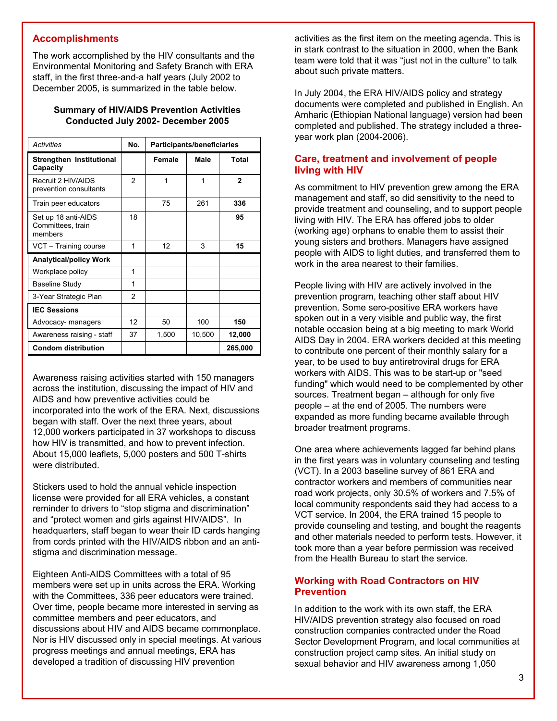## **Accomplishments**

The work accomplished by the HIV consultants and the Environmental Monitoring and Safety Branch with ERA staff, in the first three-and-a half years (July 2002 to December 2005, is summarized in the table below.

#### **Summary of HIV/AIDS Prevention Activities Conducted July 2002- December 2005**

| Activities                                          | No.            | <b>Participants/beneficiaries</b> |        |              |
|-----------------------------------------------------|----------------|-----------------------------------|--------|--------------|
| Strengthen Institutional<br>Capacity                |                | Female                            | Male   | Total        |
| Recruit 2 HIV/AIDS<br>prevention consultants        | $\mathfrak{p}$ | 1                                 | 1      | $\mathbf{2}$ |
| Train peer educators                                |                | 75                                | 261    | 336          |
| Set up 18 anti-AIDS<br>Committees, train<br>members | 18             |                                   |        | 95           |
| VCT - Training course                               | 1              | 12                                | 3      | 15           |
| <b>Analytical/policy Work</b>                       |                |                                   |        |              |
| Workplace policy                                    | 1              |                                   |        |              |
| <b>Baseline Study</b>                               | 1              |                                   |        |              |
| 3-Year Strategic Plan                               | 2              |                                   |        |              |
| <b>IEC Sessions</b>                                 |                |                                   |        |              |
| Advocacy- managers                                  | 12             | 50                                | 100    | 150          |
| Awareness raising - staff                           | 37             | 1,500                             | 10,500 | 12,000       |
| <b>Condom distribution</b>                          |                |                                   |        | 265,000      |

Awareness raising activities started with 150 managers across the institution, discussing the impact of HIV and AIDS and how preventive activities could be incorporated into the work of the ERA. Next, discussions began with staff. Over the next three years, about 12,000 workers participated in 37 workshops to discuss how HIV is transmitted, and how to prevent infection. About 15,000 leaflets, 5,000 posters and 500 T-shirts were distributed.

Stickers used to hold the annual vehicle inspection license were provided for all ERA vehicles, a constant reminder to drivers to "stop stigma and discrimination" and "protect women and girls against HIV/AIDS". In headquarters, staff began to wear their ID cards hanging from cords printed with the HIV/AIDS ribbon and an antistigma and discrimination message.

Eighteen Anti-AIDS Committees with a total of 95 members were set up in units across the ERA. Working with the Committees, 336 peer educators were trained. Over time, people became more interested in serving as committee members and peer educators, and discussions about HIV and AIDS became commonplace. Nor is HIV discussed only in special meetings. At various progress meetings and annual meetings, ERA has developed a tradition of discussing HIV prevention

activities as the first item on the meeting agenda. This is in stark contrast to the situation in 2000, when the Bank team were told that it was "just not in the culture" to talk about such private matters.

In July 2004, the ERA HIV/AIDS policy and strategy documents were completed and published in English. An Amharic (Ethiopian National language) version had been completed and published. The strategy included a threeyear work plan (2004-2006).

# **Care, treatment and involvement of people living with HIV**

As commitment to HIV prevention grew among the ERA management and staff, so did sensitivity to the need to provide treatment and counseling, and to support people living with HIV. The ERA has offered jobs to older (working age) orphans to enable them to assist their young sisters and brothers. Managers have assigned people with AIDS to light duties, and transferred them to work in the area nearest to their families.

People living with HIV are actively involved in the prevention program, teaching other staff about HIV prevention. Some sero-positive ERA workers have spoken out in a very visible and public way, the first notable occasion being at a big meeting to mark World AIDS Day in 2004. ERA workers decided at this meeting to contribute one percent of their monthly salary for a year, to be used to buy antiretroviral drugs for ERA workers with AIDS. This was to be start-up or "seed funding" which would need to be complemented by other sources. Treatment began – although for only five people – at the end of 2005. The numbers were expanded as more funding became available through broader treatment programs.

One area where achievements lagged far behind plans in the first years was in voluntary counseling and testing (VCT). In a 2003 baseline survey of 861 ERA and contractor workers and members of communities near road work projects, only 30.5% of workers and 7.5% of local community respondents said they had access to a VCT service. In 2004, the ERA trained 15 people to provide counseling and testing, and bought the reagents and other materials needed to perform tests. However, it took more than a year before permission was received from the Health Bureau to start the service.

## **Working with Road Contractors on HIV Prevention**

In addition to the work with its own staff, the ERA HIV/AIDS prevention strategy also focused on road construction companies contracted under the Road Sector Development Program, and local communities at construction project camp sites. An initial study on sexual behavior and HIV awareness among 1,050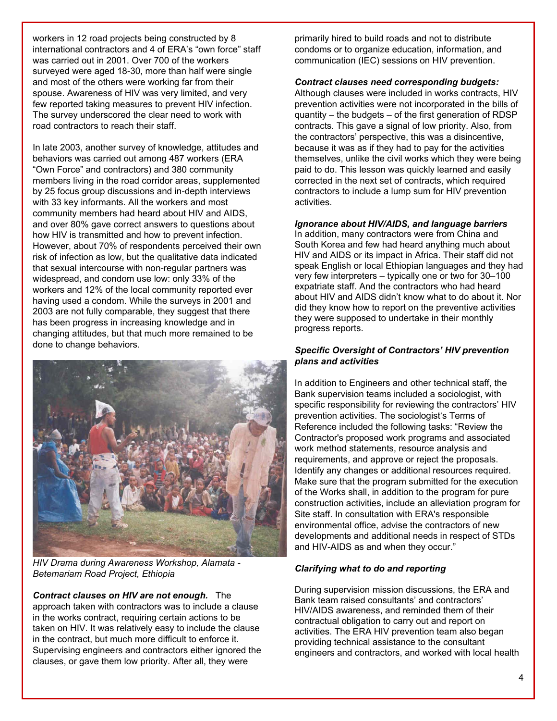workers in 12 road projects being constructed by 8 international contractors and 4 of ERA's "own force" staff was carried out in 2001. Over 700 of the workers surveyed were aged 18-30, more than half were single and most of the others were working far from their spouse. Awareness of HIV was very limited, and very few reported taking measures to prevent HIV infection. The survey underscored the clear need to work with road contractors to reach their staff.

In late 2003, another survey of knowledge, attitudes and behaviors was carried out among 487 workers (ERA "Own Force" and contractors) and 380 community members living in the road corridor areas, supplemented by 25 focus group discussions and in-depth interviews with 33 key informants. All the workers and most community members had heard about HIV and AIDS, and over 80% gave correct answers to questions about how HIV is transmitted and how to prevent infection. However, about 70% of respondents perceived their own risk of infection as low, but the qualitative data indicated that sexual intercourse with non-regular partners was widespread, and condom use low: only 33% of the workers and 12% of the local community reported ever having used a condom. While the surveys in 2001 and 2003 are not fully comparable, they suggest that there has been progress in increasing knowledge and in changing attitudes, but that much more remained to be done to change behaviors.

![](_page_3_Picture_2.jpeg)

*HIV Drama during Awareness Workshop, Alamata - Betemariam Road Project, Ethiopia* 

*Contract clauses on HIV are not enough.* The approach taken with contractors was to include a clause in the works contract, requiring certain actions to be taken on HIV. It was relatively easy to include the clause in the contract, but much more difficult to enforce it. Supervising engineers and contractors either ignored the clauses, or gave them low priority. After all, they were

primarily hired to build roads and not to distribute condoms or to organize education, information, and communication (IEC) sessions on HIV prevention.

#### *Contract clauses need corresponding budgets:*

Although clauses were included in works contracts, HIV prevention activities were not incorporated in the bills of quantity – the budgets – of the first generation of RDSP contracts. This gave a signal of low priority. Also, from the contractors' perspective, this was a disincentive, because it was as if they had to pay for the activities themselves, unlike the civil works which they were being paid to do. This lesson was quickly learned and easily corrected in the next set of contracts, which required contractors to include a lump sum for HIV prevention activities.

#### *Ignorance about HIV/AIDS, and language barriers*

In addition, many contractors were from China and South Korea and few had heard anything much about HIV and AIDS or its impact in Africa. Their staff did not speak English or local Ethiopian languages and they had very few interpreters – typically one or two for 30–100 expatriate staff. And the contractors who had heard about HIV and AIDS didn't know what to do about it. Nor did they know how to report on the preventive activities they were supposed to undertake in their monthly progress reports.

#### *Specific Oversight of Contractors' HIV prevention plans and activities*

In addition to Engineers and other technical staff, the Bank supervision teams included a sociologist, with specific responsibility for reviewing the contractors' HIV prevention activities. The sociologist's Terms of Reference included the following tasks: "Review the Contractor's proposed work programs and associated work method statements, resource analysis and requirements, and approve or reject the proposals. Identify any changes or additional resources required. Make sure that the program submitted for the execution of the Works shall, in addition to the program for pure construction activities, include an alleviation program for Site staff. In consultation with ERA's responsible environmental office, advise the contractors of new developments and additional needs in respect of STDs and HIV-AIDS as and when they occur."

#### *Clarifying what to do and reporting*

During supervision mission discussions, the ERA and Bank team raised consultants' and contractors' HIV/AIDS awareness, and reminded them of their contractual obligation to carry out and report on activities. The ERA HIV prevention team also began providing technical assistance to the consultant engineers and contractors, and worked with local health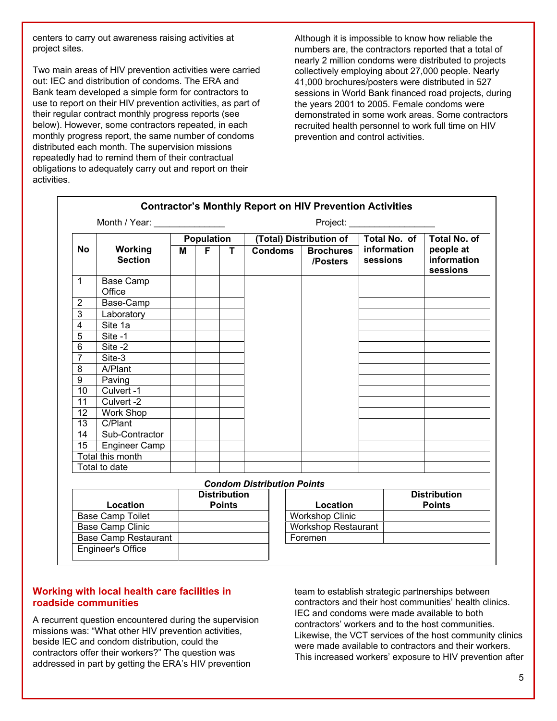centers to carry out awareness raising activities at project sites.

Two main areas of HIV prevention activities were carried out: IEC and distribution of condoms. The ERA and Bank team developed a simple form for contractors to use to report on their HIV prevention activities, as part of their regular contract monthly progress reports (see below). However, some contractors repeated, in each monthly progress report, the same number of condoms distributed each month. The supervision missions repeatedly had to remind them of their contractual obligations to adequately carry out and report on their activities.

Although it is impossible to know how reliable the numbers are, the contractors reported that a total of nearly 2 million condoms were distributed to projects collectively employing about 27,000 people. Nearly 41,000 brochures/posters were distributed in 527 sessions in World Bank financed road projects, during the years 2001 to 2005. Female condoms were demonstrated in some work areas. Some contractors recruited health personnel to work full time on HIV prevention and control activities.

| <b>Contractor's Monthly Report on HIV Prevention Activities</b> |                                               |                   |    |                                      |                |                              |                         |                                      |
|-----------------------------------------------------------------|-----------------------------------------------|-------------------|----|--------------------------------------|----------------|------------------------------|-------------------------|--------------------------------------|
|                                                                 | Month / Year: ______________<br>Project: ____ |                   |    |                                      |                |                              |                         |                                      |
|                                                                 | <b>Working</b><br><b>Section</b>              | <b>Population</b> |    |                                      |                | (Total) Distribution of      | Total No. of            | <b>Total No. of</b>                  |
| <b>No</b>                                                       |                                               | м                 | F. | T                                    | <b>Condoms</b> | <b>Brochures</b><br>/Posters | information<br>sessions | people at<br>information<br>sessions |
| $\mathbf{1}$                                                    | <b>Base Camp</b><br>Office                    |                   |    |                                      |                |                              |                         |                                      |
| $\overline{2}$                                                  | Base-Camp                                     |                   |    |                                      |                |                              |                         |                                      |
| 3                                                               | Laboratory                                    |                   |    |                                      |                |                              |                         |                                      |
| 4                                                               | Site 1a                                       |                   |    |                                      |                |                              |                         |                                      |
| $\overline{5}$                                                  | Site -1                                       |                   |    |                                      |                |                              |                         |                                      |
| $\overline{6}$                                                  | Site -2                                       |                   |    |                                      |                |                              |                         |                                      |
| $\overline{7}$                                                  | Site-3                                        |                   |    |                                      |                |                              |                         |                                      |
| 8                                                               | A/Plant                                       |                   |    |                                      |                |                              |                         |                                      |
| 9                                                               | Paving                                        |                   |    |                                      |                |                              |                         |                                      |
| 10                                                              | Culvert -1                                    |                   |    |                                      |                |                              |                         |                                      |
| 11                                                              | Culvert -2                                    |                   |    |                                      |                |                              |                         |                                      |
| 12                                                              | Work Shop                                     |                   |    |                                      |                |                              |                         |                                      |
| 13                                                              | $\overline{C}$ /Plant                         |                   |    |                                      |                |                              |                         |                                      |
| 14                                                              | Sub-Contractor                                |                   |    |                                      |                |                              |                         |                                      |
| 15                                                              | <b>Engineer Camp</b>                          |                   |    |                                      |                |                              |                         |                                      |
|                                                                 | Total this month                              |                   |    |                                      |                |                              |                         |                                      |
|                                                                 | Total to date                                 |                   |    |                                      |                |                              |                         |                                      |
| <b>Condom Distribution Points</b>                               |                                               |                   |    |                                      |                |                              |                         |                                      |
|                                                                 | Location                                      |                   |    | <b>Distribution</b><br><b>Points</b> |                | Location                     |                         | <b>Distribution</b><br><b>Points</b> |

| Location                    | <b>Distribution</b><br><b>Points</b> | Location                   | <b>Distribution</b><br><b>Points</b> |
|-----------------------------|--------------------------------------|----------------------------|--------------------------------------|
| <b>Base Camp Toilet</b>     |                                      | <b>Workshop Clinic</b>     |                                      |
| <b>Base Camp Clinic</b>     |                                      | <b>Workshop Restaurant</b> |                                      |
| <b>Base Camp Restaurant</b> |                                      | Foremen                    |                                      |
| Engineer's Office           |                                      |                            |                                      |

# **Working with local health care facilities in roadside communities**

A recurrent question encountered during the supervision missions was: "What other HIV prevention activities, beside IEC and condom distribution, could the contractors offer their workers?" The question was addressed in part by getting the ERA's HIV prevention

team to establish strategic partnerships between contractors and their host communities' health clinics. IEC and condoms were made available to both contractors' workers and to the host communities. Likewise, the VCT services of the host community clinics were made available to contractors and their workers. This increased workers' exposure to HIV prevention after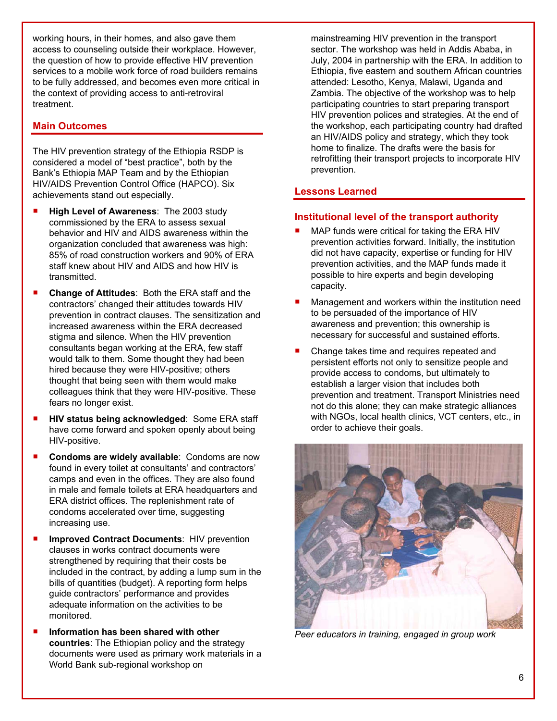working hours, in their homes, and also gave them access to counseling outside their workplace. However, the question of how to provide effective HIV prevention services to a mobile work force of road builders remains to be fully addressed, and becomes even more critical in the context of providing access to anti-retroviral treatment.

# **Main Outcomes**

The HIV prevention strategy of the Ethiopia RSDP is considered a model of "best practice", both by the Bank's Ethiopia MAP Team and by the Ethiopian HIV/AIDS Prevention Control Office (HAPCO). Six achievements stand out especially.

- **High Level of Awareness**: The 2003 study commissioned by the ERA to assess sexual behavior and HIV and AIDS awareness within the organization concluded that awareness was high: 85% of road construction workers and 90% of ERA staff knew about HIV and AIDS and how HIV is transmitted.
- **Change of Attitudes**: Both the ERA staff and the contractors' changed their attitudes towards HIV prevention in contract clauses. The sensitization and increased awareness within the ERA decreased stigma and silence. When the HIV prevention consultants began working at the ERA, few staff would talk to them. Some thought they had been hired because they were HIV-positive; others thought that being seen with them would make colleagues think that they were HIV-positive. These fears no longer exist.
- **HIV status being acknowledged: Some ERA staff** have come forward and spoken openly about being HIV-positive.
- **E** Condoms are widely available: Condoms are now found in every toilet at consultants' and contractors' camps and even in the offices. They are also found in male and female toilets at ERA headquarters and ERA district offices. The replenishment rate of condoms accelerated over time, suggesting increasing use.
- **Improved Contract Documents**: HIV prevention clauses in works contract documents were strengthened by requiring that their costs be included in the contract, by adding a lump sum in the bills of quantities (budget). A reporting form helps guide contractors' performance and provides adequate information on the activities to be monitored.
- **Information has been shared with other countries**: The Ethiopian policy and the strategy documents were used as primary work materials in a World Bank sub-regional workshop on

mainstreaming HIV prevention in the transport sector. The workshop was held in Addis Ababa, in July, 2004 in partnership with the ERA. In addition to Ethiopia, five eastern and southern African countries attended: Lesotho, Kenya, Malawi, Uganda and Zambia. The objective of the workshop was to help participating countries to start preparing transport HIV prevention polices and strategies. At the end of the workshop, each participating country had drafted an HIV/AIDS policy and strategy, which they took home to finalize. The drafts were the basis for retrofitting their transport projects to incorporate HIV prevention.

## **Lessons Learned**

## **Institutional level of the transport authority**

- MAP funds were critical for taking the ERA HIV prevention activities forward. Initially, the institution did not have capacity, expertise or funding for HIV prevention activities, and the MAP funds made it possible to hire experts and begin developing capacity.
- Management and workers within the institution need to be persuaded of the importance of HIV awareness and prevention; this ownership is necessary for successful and sustained efforts.
- Change takes time and requires repeated and persistent efforts not only to sensitize people and provide access to condoms, but ultimately to establish a larger vision that includes both prevention and treatment. Transport Ministries need not do this alone; they can make strategic alliances with NGOs, local health clinics, VCT centers, etc., in order to achieve their goals.

![](_page_5_Picture_15.jpeg)

*Peer educators in training, engaged in group work*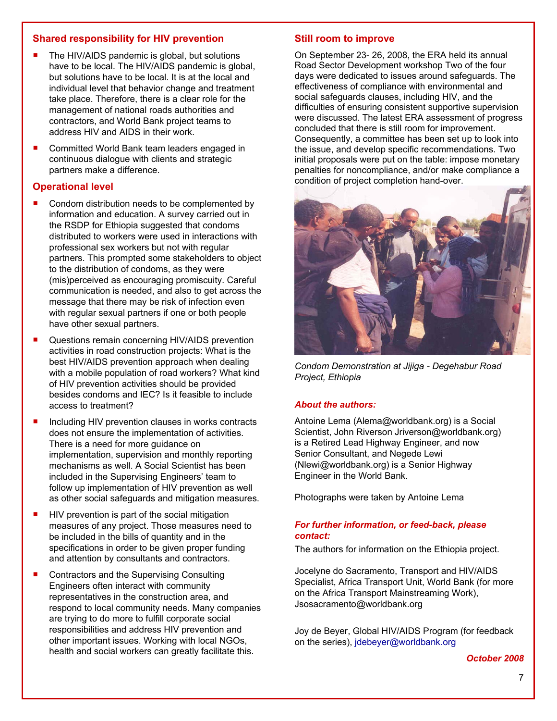## **Shared responsibility for HIV prevention**

- The HIV/AIDS pandemic is global, but solutions have to be local. The HIV/AIDS pandemic is global, but solutions have to be local. It is at the local and individual level that behavior change and treatment take place. Therefore, there is a clear role for the management of national roads authorities and contractors, and World Bank project teams to address HIV and AIDS in their work.
- Committed World Bank team leaders engaged in continuous dialogue with clients and strategic partners make a difference.

## **Operational level**

- Condom distribution needs to be complemented by information and education. A survey carried out in the RSDP for Ethiopia suggested that condoms distributed to workers were used in interactions with professional sex workers but not with regular partners. This prompted some stakeholders to object to the distribution of condoms, as they were (mis)perceived as encouraging promiscuity. Careful communication is needed, and also to get across the message that there may be risk of infection even with regular sexual partners if one or both people have other sexual partners.
- **Questions remain concerning HIV/AIDS prevention** activities in road construction projects: What is the best HIV/AIDS prevention approach when dealing with a mobile population of road workers? What kind of HIV prevention activities should be provided besides condoms and IEC? Is it feasible to include access to treatment?
- Including HIV prevention clauses in works contracts does not ensure the implementation of activities. There is a need for more guidance on implementation, supervision and monthly reporting mechanisms as well. A Social Scientist has been included in the Supervising Engineers' team to follow up implementation of HIV prevention as well as other social safeguards and mitigation measures.
- $\blacksquare$  HIV prevention is part of the social mitigation measures of any project. Those measures need to be included in the bills of quantity and in the specifications in order to be given proper funding and attention by consultants and contractors.
- Contractors and the Supervising Consulting Engineers often interact with community representatives in the construction area, and respond to local community needs. Many companies are trying to do more to fulfill corporate social responsibilities and address HIV prevention and other important issues. Working with local NGOs, health and social workers can greatly facilitate this.

#### **Still room to improve**

On September 23- 26, 2008, the ERA held its annual Road Sector Development workshop Two of the four days were dedicated to issues around safeguards. The effectiveness of compliance with environmental and social safeguards clauses, including HIV, and the difficulties of ensuring consistent supportive supervision were discussed. The latest ERA assessment of progress concluded that there is still room for improvement. Consequently, a committee has been set up to look into the issue, and develop specific recommendations. Two initial proposals were put on the table: impose monetary penalties for noncompliance, and/or make compliance a condition of project completion hand-over.

![](_page_6_Picture_11.jpeg)

*Condom Demonstration at Jijiga - Degehabur Road Project, Ethiopia* 

#### *About the authors:*

Antoine Lema (Alem[a@worldbank.org](mailto:ytayler@worldbank.org)) is a Social Scientist, John Riverson Jriverson[@worldbank.org\)](mailto:@worldbank.org) is a Retired Lead Highway Engineer, and now Senior Consultant, and Negede Lewi (Nlewi[@worldbank.org\)](mailto:ytayler@worldbank.org) is a Senior Highway Engineer in the World Bank.

Photographs were taken by Antoine Lema

#### *For further information, or feed-back, please contact:*

The authors for information on the Ethiopia project.

Jocelyne do Sacramento, Transport and HIV/AIDS Specialist, Africa Transport Unit, World Bank (for more on the Africa Transport Mainstreaming Work), Jsosacramento@worldbank.org

Joy de Beyer, Global HIV/AIDS Program (for feedback on the series), [jdebeyer@worldbank.org](mailto:jdebeyer@worldbank.org)

*October 2008*